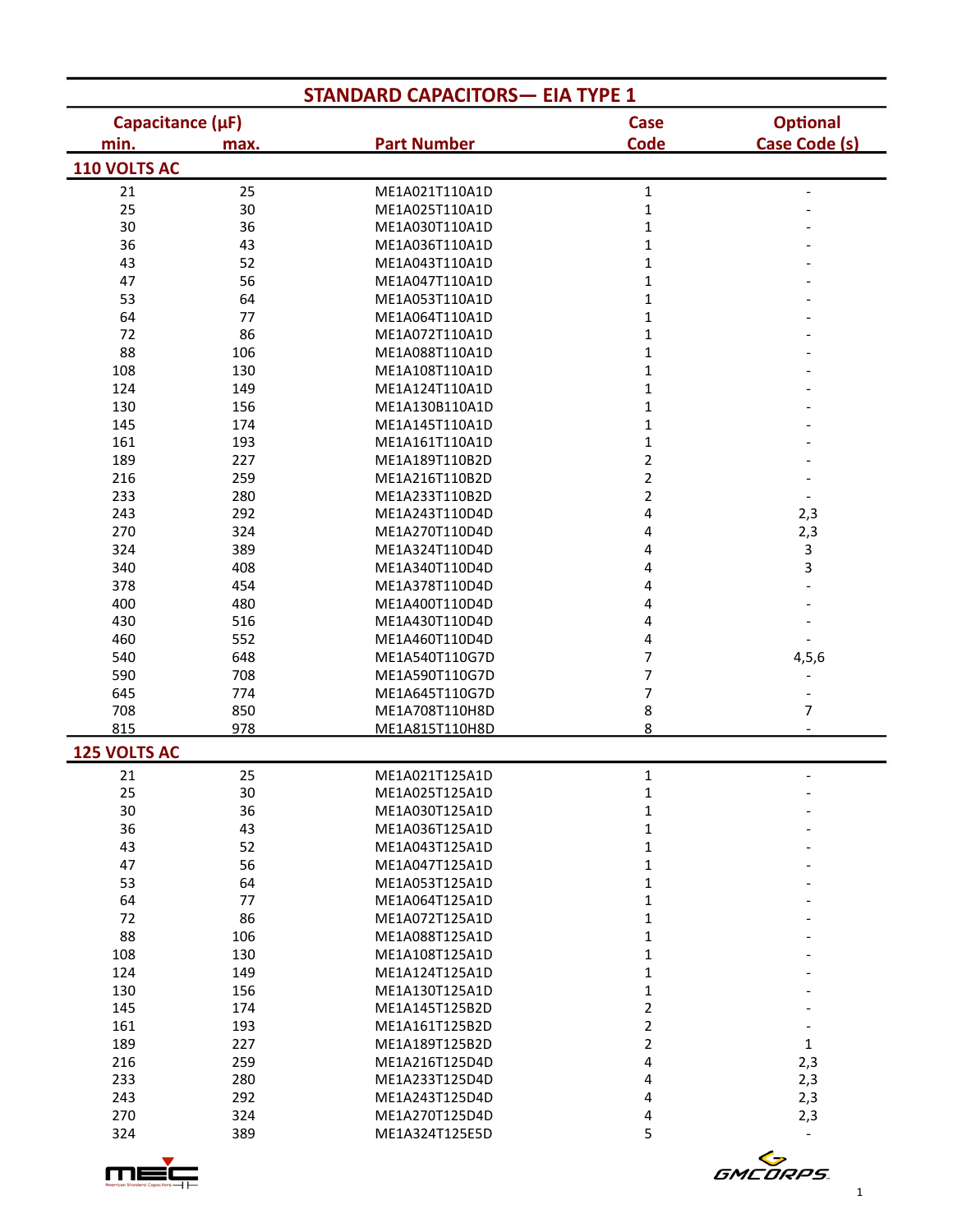| <b>STANDARD CAPACITORS- EIA TYPE 1</b> |      |                    |                |                          |  |
|----------------------------------------|------|--------------------|----------------|--------------------------|--|
| Capacitance (µF)                       |      |                    | <b>Case</b>    | <b>Optional</b>          |  |
| min.                                   | max. | <b>Part Number</b> | <b>Code</b>    | Case Code (s)            |  |
| 110 VOLTS AC                           |      |                    |                |                          |  |
| 21                                     | 25   | ME1A021T110A1D     | $\mathbf{1}$   |                          |  |
| 25                                     | 30   | ME1A025T110A1D     | $\mathbf 1$    |                          |  |
| 30                                     | 36   | ME1A030T110A1D     | $\mathbf{1}$   |                          |  |
| 36                                     | 43   | ME1A036T110A1D     | $\mathbf{1}$   |                          |  |
| 43                                     | 52   | ME1A043T110A1D     | $\mathbf{1}$   |                          |  |
| 47                                     | 56   | ME1A047T110A1D     | $\mathbf{1}$   |                          |  |
| 53                                     | 64   | ME1A053T110A1D     | $\mathbf{1}$   |                          |  |
| 64                                     | 77   | ME1A064T110A1D     | $\mathbf{1}$   |                          |  |
| 72                                     | 86   | ME1A072T110A1D     | $\mathbf 1$    |                          |  |
| 88                                     | 106  | ME1A088T110A1D     | $\mathbf 1$    |                          |  |
| 108                                    | 130  | ME1A108T110A1D     | $\mathbf 1$    |                          |  |
| 124                                    | 149  | ME1A124T110A1D     | 1              |                          |  |
| 130                                    | 156  | ME1A130B110A1D     | 1              |                          |  |
| 145                                    | 174  | ME1A145T110A1D     | 1              |                          |  |
| 161                                    | 193  | ME1A161T110A1D     | 1              |                          |  |
| 189                                    | 227  | ME1A189T110B2D     | $\overline{2}$ |                          |  |
| 216                                    | 259  | ME1A216T110B2D     | $\overline{2}$ |                          |  |
| 233                                    | 280  | ME1A233T110B2D     | $\overline{2}$ |                          |  |
| 243                                    | 292  | ME1A243T110D4D     | 4              | 2,3                      |  |
| 270                                    | 324  | ME1A270T110D4D     | 4              | 2,3                      |  |
| 324                                    | 389  | ME1A324T110D4D     | 4              | 3                        |  |
| 340                                    | 408  | ME1A340T110D4D     | 4              | 3                        |  |
| 378                                    | 454  | ME1A378T110D4D     | 4              |                          |  |
| 400                                    | 480  | ME1A400T110D4D     | 4              |                          |  |
| 430                                    | 516  | ME1A430T110D4D     | 4              |                          |  |
| 460                                    | 552  | ME1A460T110D4D     | 4              |                          |  |
| 540                                    | 648  | ME1A540T110G7D     | 7              | 4, 5, 6                  |  |
| 590                                    | 708  | ME1A590T110G7D     | 7              |                          |  |
| 645                                    | 774  | ME1A645T110G7D     | 7              | $\overline{\phantom{m}}$ |  |
| 708                                    | 850  | ME1A708T110H8D     | 8              | 7                        |  |
| 815                                    | 978  | ME1A815T110H8D     | 8              |                          |  |
| <b>125 VOLTS AC</b>                    |      |                    |                |                          |  |
| 21                                     | 25   | ME1A021T125A1D     | $\mathbf{1}$   |                          |  |
| 25                                     | 30   | ME1A025T125A1D     | $\mathbf{1}$   | $\overline{\phantom{a}}$ |  |
| 30                                     | 36   | ME1A030T125A1D     | $\mathbf 1$    |                          |  |
| 36                                     | 43   | ME1A036T125A1D     | $\mathbf 1$    |                          |  |
| 43                                     | 52   | ME1A043T125A1D     | $\mathbf{1}$   |                          |  |
| 47                                     | 56   | ME1A047T125A1D     | 1              |                          |  |
| 53                                     | 64   | ME1A053T125A1D     | 1              |                          |  |
| 64                                     | 77   | ME1A064T125A1D     | 1              |                          |  |
| 72                                     | 86   | ME1A072T125A1D     | 1              |                          |  |
| 88                                     | 106  | ME1A088T125A1D     | $\mathbf{1}$   |                          |  |
| 108                                    | 130  | ME1A108T125A1D     | $\mathbf{1}$   |                          |  |
| 124                                    | 149  | ME1A124T125A1D     | $\mathbf{1}$   |                          |  |
| 130                                    | 156  | ME1A130T125A1D     | $\mathbf{1}$   |                          |  |
| 145                                    | 174  | ME1A145T125B2D     | $\overline{2}$ |                          |  |
| 161                                    | 193  | ME1A161T125B2D     | $\overline{2}$ |                          |  |
| 189                                    | 227  | ME1A189T125B2D     | $\overline{2}$ | $\mathbf{1}$             |  |
| 216                                    | 259  | ME1A216T125D4D     | 4              | 2,3                      |  |
| 233                                    | 280  | ME1A233T125D4D     | 4              | 2,3                      |  |
| 243                                    | 292  | ME1A243T125D4D     | 4              | 2,3                      |  |
| 270                                    | 324  | ME1A270T125D4D     | 4              | 2,3                      |  |
| 324                                    | 389  | ME1A324T125E5D     | 5              |                          |  |
|                                        |      |                    |                |                          |  |

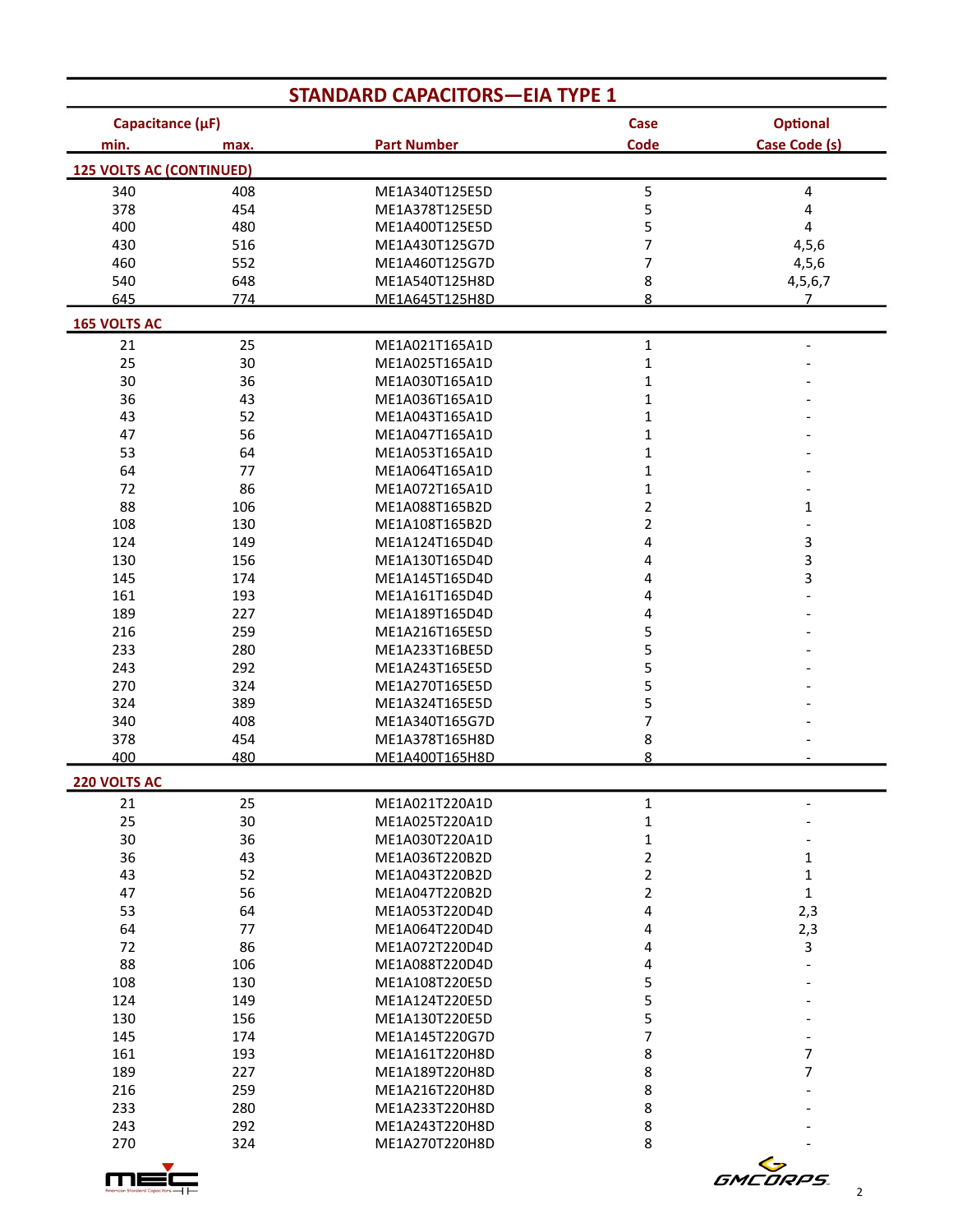| <b>STANDARD CAPACITORS-EIA TYPE 1</b> |      |                    |                         |                          |
|---------------------------------------|------|--------------------|-------------------------|--------------------------|
| Capacitance (µF)                      |      |                    | Case                    | <b>Optional</b>          |
| min.                                  | max. | <b>Part Number</b> | Code                    | <b>Case Code (s)</b>     |
| <b>125 VOLTS AC (CONTINUED)</b>       |      |                    |                         |                          |
| 340                                   | 408  | ME1A340T125E5D     | 5                       | 4                        |
| 378                                   | 454  | ME1A378T125E5D     | 5                       | 4                        |
| 400                                   | 480  | ME1A400T125E5D     | 5                       | 4                        |
| 430                                   | 516  | ME1A430T125G7D     | 7                       | 4, 5, 6                  |
| 460                                   | 552  | ME1A460T125G7D     | 7                       | 4, 5, 6                  |
| 540                                   | 648  | ME1A540T125H8D     | 8                       | 4,5,6,7                  |
| 645                                   | 774  | ME1A645T125H8D     | 8                       | 7 <sup>2</sup>           |
| <b>165 VOLTS AC</b>                   |      |                    |                         |                          |
| 21                                    | 25   | ME1A021T165A1D     | $\mathbf{1}$            | $\overline{\phantom{a}}$ |
| 25                                    | 30   | ME1A025T165A1D     | $\mathbf{1}$            |                          |
| 30                                    | 36   | ME1A030T165A1D     | 1                       |                          |
| 36                                    | 43   | ME1A036T165A1D     | $\mathbf{1}$            |                          |
| 43                                    | 52   | ME1A043T165A1D     | $\mathbf{1}$            |                          |
| 47                                    | 56   | ME1A047T165A1D     | $\mathbf 1$             |                          |
| 53                                    | 64   | ME1A053T165A1D     | $\mathbf 1$             |                          |
| 64                                    | 77   | ME1A064T165A1D     | $\mathbf 1$             |                          |
| 72                                    | 86   | ME1A072T165A1D     | $\mathbf{1}$            |                          |
| 88                                    | 106  | ME1A088T165B2D     | 2                       | 1                        |
| 108                                   | 130  | ME1A108T165B2D     | $\overline{\mathbf{c}}$ | $\overline{a}$           |
| 124                                   | 149  | ME1A124T165D4D     | 4                       | 3                        |
| 130                                   | 156  | ME1A130T165D4D     | 4                       | 3                        |
| 145                                   | 174  | ME1A145T165D4D     | 4                       | 3                        |
| 161                                   | 193  | ME1A161T165D4D     | 4                       |                          |
| 189                                   | 227  | ME1A189T165D4D     | 4                       |                          |
| 216                                   | 259  | ME1A216T165E5D     | 5                       |                          |
| 233                                   | 280  | ME1A233T16BE5D     | 5                       |                          |
| 243                                   | 292  | ME1A243T165E5D     | 5                       |                          |
| 270                                   | 324  | ME1A270T165E5D     | 5                       |                          |
| 324                                   | 389  | ME1A324T165E5D     | 5                       |                          |
| 340                                   | 408  | ME1A340T165G7D     | 7                       |                          |
| 378                                   | 454  | ME1A378T165H8D     | 8                       |                          |
| 400                                   | 480  | ME1A400T165H8D     | 8                       |                          |
| <b>220 VOLTS AC</b>                   |      |                    |                         |                          |
| 21                                    | 25   | ME1A021T220A1D     | 1                       | -                        |
| 25                                    | 30   | ME1A025T220A1D     | 1                       |                          |
| 30                                    | 36   | ME1A030T220A1D     | 1                       |                          |
| 36                                    | 43   | ME1A036T220B2D     | 2                       | 1                        |
| 43                                    | 52   | ME1A043T220B2D     | 2                       | $\mathbf 1$              |
| 47                                    | 56   | ME1A047T220B2D     | $\overline{2}$          | $\mathbf{1}$             |
| 53                                    | 64   | ME1A053T220D4D     | 4                       | 2,3                      |
| 64                                    | 77   | ME1A064T220D4D     | 4                       | 2,3                      |
| 72                                    |      | ME1A072T220D4D     |                         |                          |
| 88                                    | 86   | ME1A088T220D4D     | 4                       | 3                        |
|                                       | 106  |                    | 4                       |                          |
| 108                                   | 130  | ME1A108T220E5D     | 5                       |                          |
| 124                                   | 149  | ME1A124T220E5D     | 5                       |                          |
| 130                                   | 156  | ME1A130T220E5D     | 5                       |                          |
| 145                                   | 174  | ME1A145T220G7D     | 7                       |                          |
| 161                                   | 193  | ME1A161T220H8D     | 8                       | 7                        |
| 189                                   | 227  | ME1A189T220H8D     | 8                       | 7                        |
| 216                                   | 259  | ME1A216T220H8D     | 8                       |                          |
| 233                                   | 280  | ME1A233T220H8D     | 8                       |                          |
| 243                                   | 292  | ME1A243T220H8D     | 8                       |                          |
| 270                                   | 324  | ME1A270T220H8D     | 8                       |                          |
|                                       |      |                    |                         | <b>GMCORPS</b>           |
|                                       |      |                    |                         | 2                        |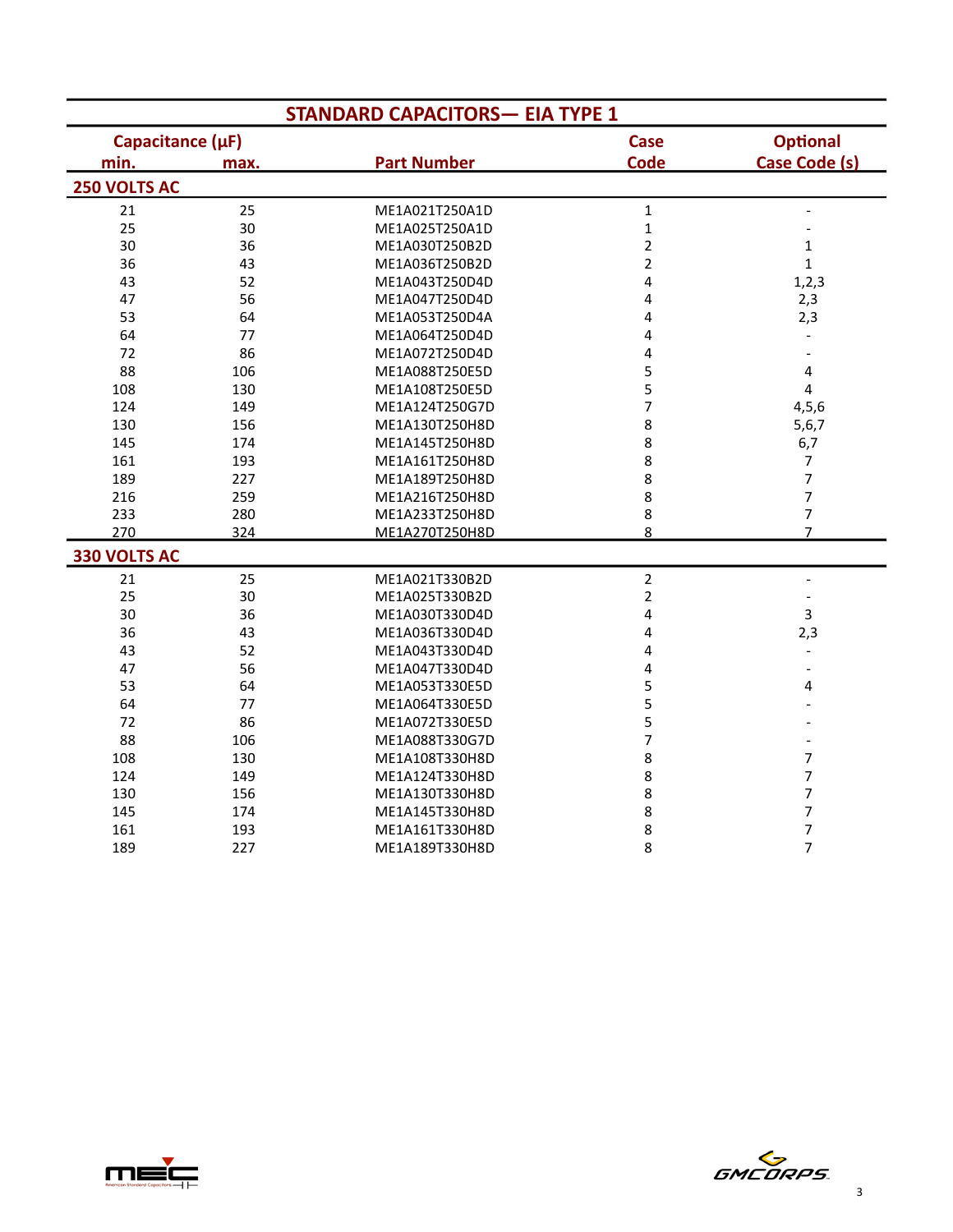|                     | <b>STANDARD CAPACITORS- EIA TYPE 1</b> |                    |                         |                              |  |  |
|---------------------|----------------------------------------|--------------------|-------------------------|------------------------------|--|--|
| Capacitance (µF)    |                                        |                    | <b>Case</b>             | <b>Optional</b>              |  |  |
| min.                | max.                                   | <b>Part Number</b> | <b>Code</b>             | <b>Case Code (s)</b>         |  |  |
| <b>250 VOLTS AC</b> |                                        |                    |                         |                              |  |  |
| 21                  | 25                                     | ME1A021T250A1D     | $\mathbf{1}$            | $\qquad \qquad \blacksquare$ |  |  |
| 25                  | 30                                     | ME1A025T250A1D     | $\mathbf{1}$            |                              |  |  |
| 30                  | 36                                     | ME1A030T250B2D     | $\overline{2}$          | $\mathbf{1}$                 |  |  |
| 36                  | 43                                     | ME1A036T250B2D     | $\overline{c}$          | $\mathbf{1}$                 |  |  |
| 43                  | 52                                     | ME1A043T250D4D     | 4                       | 1, 2, 3                      |  |  |
| 47                  | 56                                     | ME1A047T250D4D     | 4                       | 2,3                          |  |  |
| 53                  | 64                                     | ME1A053T250D4A     | 4                       | 2,3                          |  |  |
| 64                  | 77                                     | ME1A064T250D4D     | 4                       |                              |  |  |
| 72                  | 86                                     | ME1A072T250D4D     | 4                       | $\overline{a}$               |  |  |
| 88                  | 106                                    | ME1A088T250E5D     | 5                       | 4                            |  |  |
| 108                 | 130                                    | ME1A108T250E5D     | 5                       | 4                            |  |  |
| 124                 | 149                                    | ME1A124T250G7D     | $\overline{7}$          | 4, 5, 6                      |  |  |
| 130                 | 156                                    | ME1A130T250H8D     | 8                       | 5,6,7                        |  |  |
| 145                 | 174                                    | ME1A145T250H8D     | 8                       | 6,7                          |  |  |
| 161                 | 193                                    | ME1A161T250H8D     | 8                       | 7                            |  |  |
| 189                 | 227                                    | ME1A189T250H8D     | 8                       | $\overline{7}$               |  |  |
| 216                 | 259                                    | ME1A216T250H8D     | 8                       | 7                            |  |  |
| 233                 | 280                                    | ME1A233T250H8D     | 8                       | 7                            |  |  |
| 270                 | 324                                    | ME1A270T250H8D     | 8                       | $\overline{7}$               |  |  |
| 330 VOLTS AC        |                                        |                    |                         |                              |  |  |
| 21                  | 25                                     | ME1A021T330B2D     | $\overline{\mathbf{c}}$ | $\overline{a}$               |  |  |
| 25                  | 30                                     | ME1A025T330B2D     | $\overline{c}$          | $\overline{\phantom{0}}$     |  |  |
| 30                  | 36                                     | ME1A030T330D4D     | 4                       | 3                            |  |  |
| 36                  | 43                                     | ME1A036T330D4D     | 4                       | 2,3                          |  |  |
| 43                  | 52                                     | ME1A043T330D4D     | 4                       | $\overline{\phantom{a}}$     |  |  |
| 47                  | 56                                     | ME1A047T330D4D     | 4                       | $\overline{\phantom{a}}$     |  |  |
| 53                  | 64                                     | ME1A053T330E5D     | 5                       | 4                            |  |  |
| 64                  | 77                                     | ME1A064T330E5D     | 5                       |                              |  |  |
| 72                  | 86                                     | ME1A072T330E5D     | 5                       |                              |  |  |
| 88                  | 106                                    | ME1A088T330G7D     | 7                       |                              |  |  |
| 108                 | 130                                    | ME1A108T330H8D     | 8                       | $\overline{7}$               |  |  |
| 124                 | 149                                    | ME1A124T330H8D     | 8                       | 7                            |  |  |
| 130                 | 156                                    | ME1A130T330H8D     | 8                       | $\overline{7}$               |  |  |
| 145                 | 174                                    | ME1A145T330H8D     | 8                       | $\overline{\phantom{a}}$     |  |  |
| 161                 | 193                                    | ME1A161T330H8D     | 8                       | 7                            |  |  |
| 189                 | 227                                    | ME1A189T330H8D     | 8                       | $\overline{7}$               |  |  |



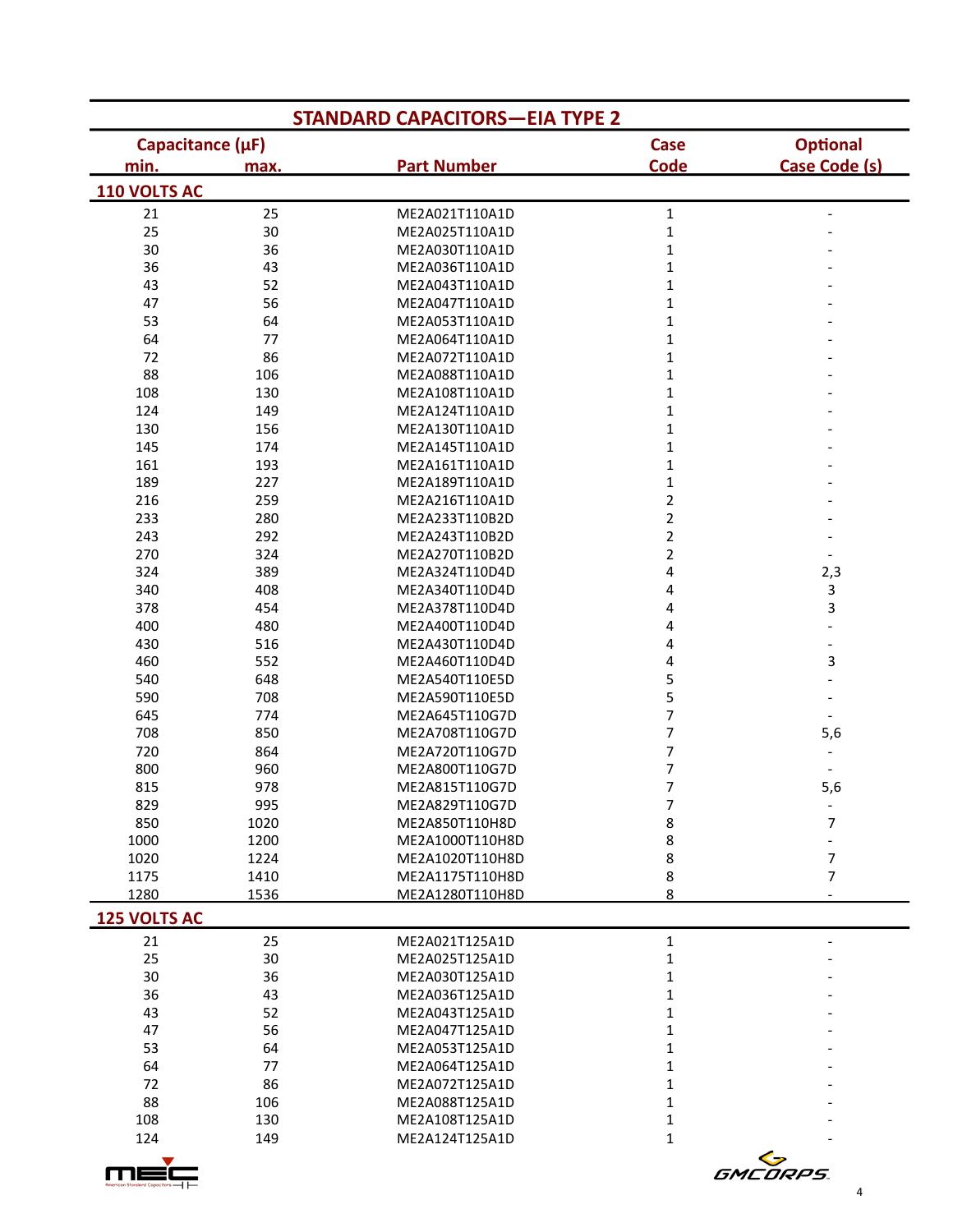| <b>STANDARD CAPACITORS-EIA TYPE 2</b> |          |                                  |                         |                          |  |  |
|---------------------------------------|----------|----------------------------------|-------------------------|--------------------------|--|--|
| Capacitance (µF)                      |          |                                  | <b>Case</b>             | <b>Optional</b>          |  |  |
| min.                                  | max.     | <b>Part Number</b>               | Code                    | <b>Case Code (s)</b>     |  |  |
| 110 VOLTS AC                          |          |                                  |                         |                          |  |  |
| 21                                    | 25       | ME2A021T110A1D                   | $\mathbf 1$             | $\overline{\phantom{a}}$ |  |  |
| 25                                    | 30       | ME2A025T110A1D                   | $\mathbf{1}$            |                          |  |  |
| 30                                    | 36       | ME2A030T110A1D                   | $\mathbf{1}$            |                          |  |  |
| 36                                    | 43       | ME2A036T110A1D                   | $\mathbf 1$             |                          |  |  |
| 43                                    | 52       | ME2A043T110A1D                   | $\mathbf 1$             |                          |  |  |
| 47                                    | 56       | ME2A047T110A1D                   | $\mathbf 1$             |                          |  |  |
| 53                                    | 64       | ME2A053T110A1D                   | $\mathbf 1$             |                          |  |  |
| 64                                    | 77       | ME2A064T110A1D                   | $\mathbf 1$             |                          |  |  |
| 72                                    | 86       | ME2A072T110A1D                   | 1                       |                          |  |  |
| 88                                    | 106      | ME2A088T110A1D                   | 1                       |                          |  |  |
| 108                                   | 130      | ME2A108T110A1D                   | 1                       |                          |  |  |
| 124                                   | 149      | ME2A124T110A1D                   | 1                       |                          |  |  |
| 130                                   | 156      | ME2A130T110A1D                   | 1                       |                          |  |  |
| 145                                   | 174      | ME2A145T110A1D                   | 1                       |                          |  |  |
| 161                                   | 193      | ME2A161T110A1D                   | $\mathbf 1$             |                          |  |  |
| 189                                   | 227      | ME2A189T110A1D                   | $\mathbf 1$             |                          |  |  |
| 216                                   | 259      | ME2A216T110A1D                   | $\overline{2}$          |                          |  |  |
| 233                                   | 280      | ME2A233T110B2D                   | $\overline{\mathbf{c}}$ |                          |  |  |
| 243                                   | 292      | ME2A243T110B2D                   | 2                       |                          |  |  |
| 270                                   | 324      | ME2A270T110B2D                   | 2                       | $\overline{\phantom{a}}$ |  |  |
| 324                                   | 389      | ME2A324T110D4D                   | 4                       | 2,3                      |  |  |
| 340                                   | 408      | ME2A340T110D4D                   | 4                       | 3                        |  |  |
| 378                                   | 454      | ME2A378T110D4D                   | 4                       | 3                        |  |  |
| 400                                   | 480      | ME2A400T110D4D                   | 4                       |                          |  |  |
| 430                                   | 516      | ME2A430T110D4D                   | 4                       | $\qquad \qquad -$        |  |  |
| 460                                   | 552      | ME2A460T110D4D                   | 4                       | 3                        |  |  |
| 540                                   | 648      | ME2A540T110E5D                   | 5                       | $\overline{\phantom{a}}$ |  |  |
| 590                                   | 708      | ME2A590T110E5D                   | 5                       |                          |  |  |
| 645                                   | 774      | ME2A645T110G7D                   | 7                       | $\overline{\phantom{a}}$ |  |  |
| 708                                   | 850      | ME2A708T110G7D                   | 7                       | 5,6                      |  |  |
| 720                                   | 864      | ME2A720T110G7D                   | 7                       |                          |  |  |
| 800                                   | 960      | ME2A800T110G7D                   | 7                       |                          |  |  |
| 815                                   | 978      | ME2A815T110G7D                   | 7                       | 5,6                      |  |  |
| 829                                   | 995      | ME2A829T110G7D                   | 7                       |                          |  |  |
| 850                                   | 1020     | ME2A850T110H8D                   | 8                       | 7                        |  |  |
| 1000                                  | 1200     | ME2A1000T110H8D                  | 8                       | $\overline{a}$           |  |  |
| 1020                                  | 1224     | ME2A1020T110H8D                  | 8                       | 7                        |  |  |
| 1175<br>1280                          | 1410     | ME2A1175T110H8D                  | 8<br>8                  | 7                        |  |  |
|                                       | 1536     | ME2A1280T110H8D                  |                         |                          |  |  |
| 125 VOLTS AC                          |          |                                  |                         |                          |  |  |
| 21                                    | 25       | ME2A021T125A1D                   | 1                       |                          |  |  |
| 25<br>30                              | 30       | ME2A025T125A1D                   | 1                       |                          |  |  |
| 36                                    | 36<br>43 | ME2A030T125A1D<br>ME2A036T125A1D | 1                       |                          |  |  |
| 43                                    | 52       |                                  | 1                       |                          |  |  |
| 47                                    | 56       | ME2A043T125A1D<br>ME2A047T125A1D | 1<br>1                  |                          |  |  |
| 53                                    | 64       | ME2A053T125A1D                   | 1                       |                          |  |  |
| 64                                    | 77       | ME2A064T125A1D                   | 1                       |                          |  |  |
| 72                                    | 86       | ME2A072T125A1D                   | 1                       |                          |  |  |
| 88                                    | 106      | ME2A088T125A1D                   | 1                       |                          |  |  |
| 108                                   | 130      | ME2A108T125A1D                   | 1                       |                          |  |  |
| 124                                   | 149      | ME2A124T125A1D                   | 1                       |                          |  |  |
|                                       |          |                                  |                         |                          |  |  |

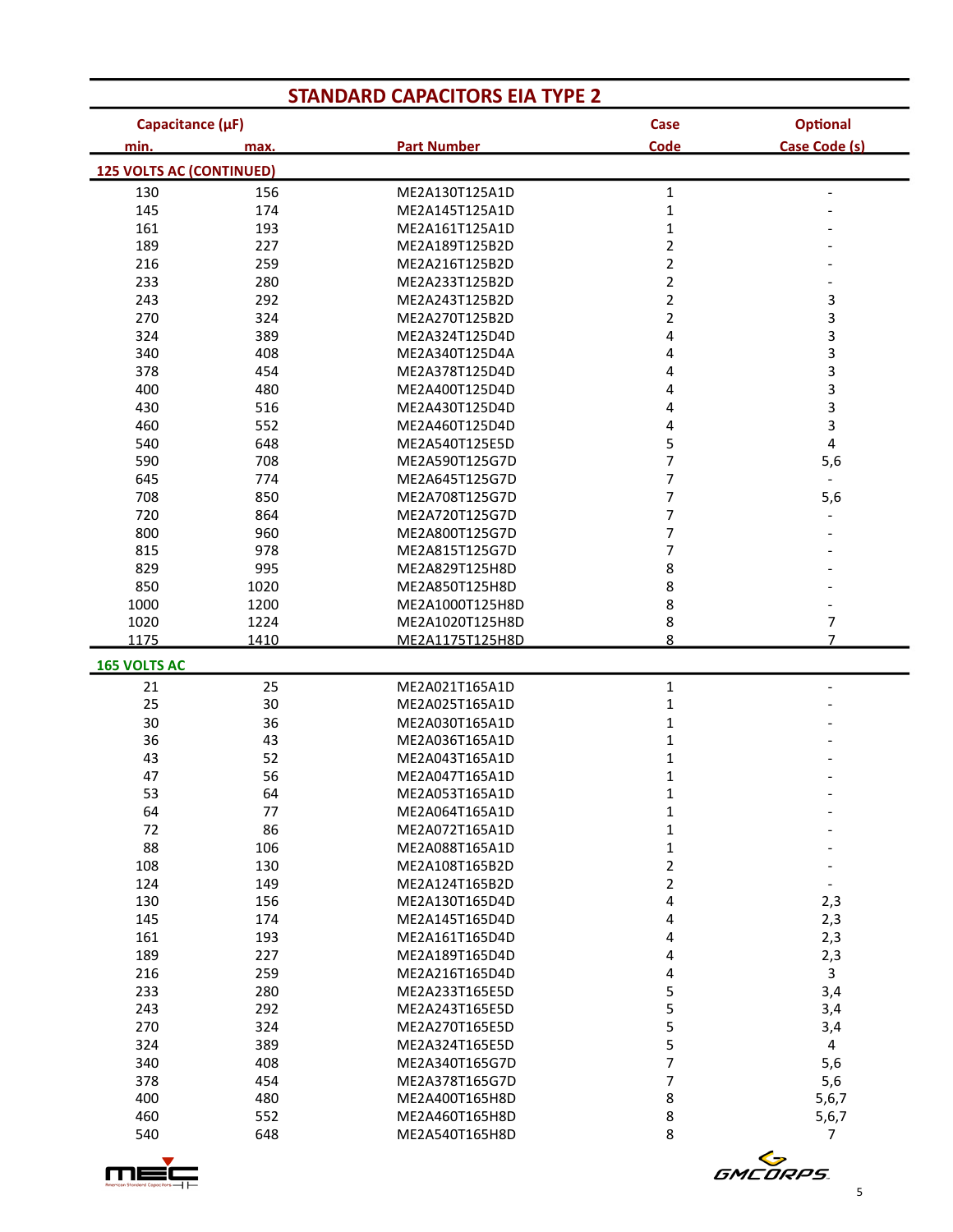| <b>STANDARD CAPACITORS EIA TYPE 2</b> |              |                                    |                         |                          |  |
|---------------------------------------|--------------|------------------------------------|-------------------------|--------------------------|--|
| Capacitance (µF)                      |              |                                    | Case                    | <b>Optional</b>          |  |
| min.                                  | max.         | <b>Part Number</b>                 | Code                    | Case Code (s)            |  |
| <b>125 VOLTS AC (CONTINUED)</b>       |              |                                    |                         |                          |  |
| 130                                   | 156          | ME2A130T125A1D                     | $\mathbf{1}$            |                          |  |
| 145                                   | 174          | ME2A145T125A1D                     | $\mathbf{1}$            |                          |  |
| 161                                   | 193          | ME2A161T125A1D                     | $\mathbf{1}$            |                          |  |
| 189                                   | 227          | ME2A189T125B2D                     | $\overline{2}$          |                          |  |
| 216                                   | 259          | ME2A216T125B2D                     | $\overline{\mathbf{c}}$ |                          |  |
| 233                                   | 280          | ME2A233T125B2D                     | $\overline{\mathbf{c}}$ |                          |  |
| 243                                   | 292          | ME2A243T125B2D                     | $\overline{\mathbf{c}}$ | 3                        |  |
| 270                                   | 324          | ME2A270T125B2D                     | 2                       | 3                        |  |
| 324                                   | 389          | ME2A324T125D4D                     | 4                       | 3                        |  |
| 340                                   | 408          | ME2A340T125D4A                     | 4                       | 3                        |  |
| 378                                   | 454          | ME2A378T125D4D                     | 4                       | 3                        |  |
| 400                                   | 480          | ME2A400T125D4D                     | 4                       | 3                        |  |
| 430                                   | 516          | ME2A430T125D4D                     | 4                       | 3                        |  |
| 460                                   | 552          | ME2A460T125D4D                     | 4                       | 3                        |  |
| 540                                   | 648          | ME2A540T125E5D                     | 5                       | 4                        |  |
| 590                                   | 708          | ME2A590T125G7D                     | 7                       | 5,6                      |  |
| 645                                   | 774          | ME2A645T125G7D                     | 7                       |                          |  |
| 708                                   | 850          | ME2A708T125G7D                     | 7                       | 5,6                      |  |
| 720                                   | 864          | ME2A720T125G7D                     | 7                       |                          |  |
| 800                                   | 960          | ME2A800T125G7D                     | 7                       |                          |  |
| 815                                   | 978          | ME2A815T125G7D                     | 7                       |                          |  |
| 829                                   | 995          | ME2A829T125H8D                     | 8                       |                          |  |
| 850                                   | 1020         | ME2A850T125H8D                     | 8                       |                          |  |
| 1000                                  | 1200         | ME2A1000T125H8D                    | 8                       |                          |  |
| 1020<br>1175                          | 1224<br>1410 | ME2A1020T125H8D<br>ME2A1175T125H8D | 8<br>8                  | 7<br>$\overline{7}$      |  |
|                                       |              |                                    |                         |                          |  |
| <b>165 VOLTS AC</b>                   |              |                                    |                         |                          |  |
| 21                                    | 25           | ME2A021T165A1D                     | $\mathbf{1}$            |                          |  |
| 25                                    | 30           | ME2A025T165A1D                     | $\mathbf{1}$            |                          |  |
| 30                                    | 36           | ME2A030T165A1D                     | $\mathbf{1}$            |                          |  |
| 36                                    | 43           | ME2A036T165A1D                     | $\mathbf{1}$            |                          |  |
| 43                                    | 52           | ME2A043T165A1D                     | 1                       |                          |  |
| 47                                    | 56           | ME2A047T165A1D                     | 1                       |                          |  |
| 53                                    | 64           | ME2A053T165A1D                     | 1                       |                          |  |
| 64                                    | 77           | ME2A064T165A1D                     | 1                       |                          |  |
| 72                                    | 86           | ME2A072T165A1D                     | 1                       |                          |  |
| 88                                    | 106          | ME2A088T165A1D                     | 1                       |                          |  |
| 108                                   | 130          | ME2A108T165B2D                     | $\overline{2}$          |                          |  |
| 124                                   | 149          | ME2A124T165B2D                     | $\overline{2}$          | $\overline{\phantom{a}}$ |  |
| 130                                   | 156          | ME2A130T165D4D                     | 4                       | 2,3                      |  |
| 145                                   | 174          | ME2A145T165D4D                     | 4                       | 2,3                      |  |
| 161<br>189                            | 193<br>227   | ME2A161T165D4D<br>ME2A189T165D4D   | 4<br>4                  | 2,3                      |  |
| 216                                   | 259          |                                    |                         | 2,3<br>$\mathbf{3}$      |  |
| 233                                   |              | ME2A216T165D4D                     | 4                       |                          |  |
| 243                                   | 280<br>292   | ME2A233T165E5D<br>ME2A243T165E5D   | 5<br>5                  | 3,4                      |  |
| 270                                   | 324          | ME2A270T165E5D                     | 5                       | 3,4                      |  |
| 324                                   | 389          | ME2A324T165E5D                     | 5                       | 3,4<br>4                 |  |
| 340                                   | 408          | ME2A340T165G7D                     | 7                       |                          |  |
| 378                                   | 454          | ME2A378T165G7D                     | 7                       | 5,6<br>5,6               |  |
| 400                                   | 480          | ME2A400T165H8D                     | 8                       | 5, 6, 7                  |  |
| 460                                   | 552          | ME2A460T165H8D                     | 8                       | 5, 6, 7                  |  |
| 540                                   | 648          | ME2A540T165H8D                     | 8                       | 7                        |  |
|                                       |              |                                    |                         |                          |  |